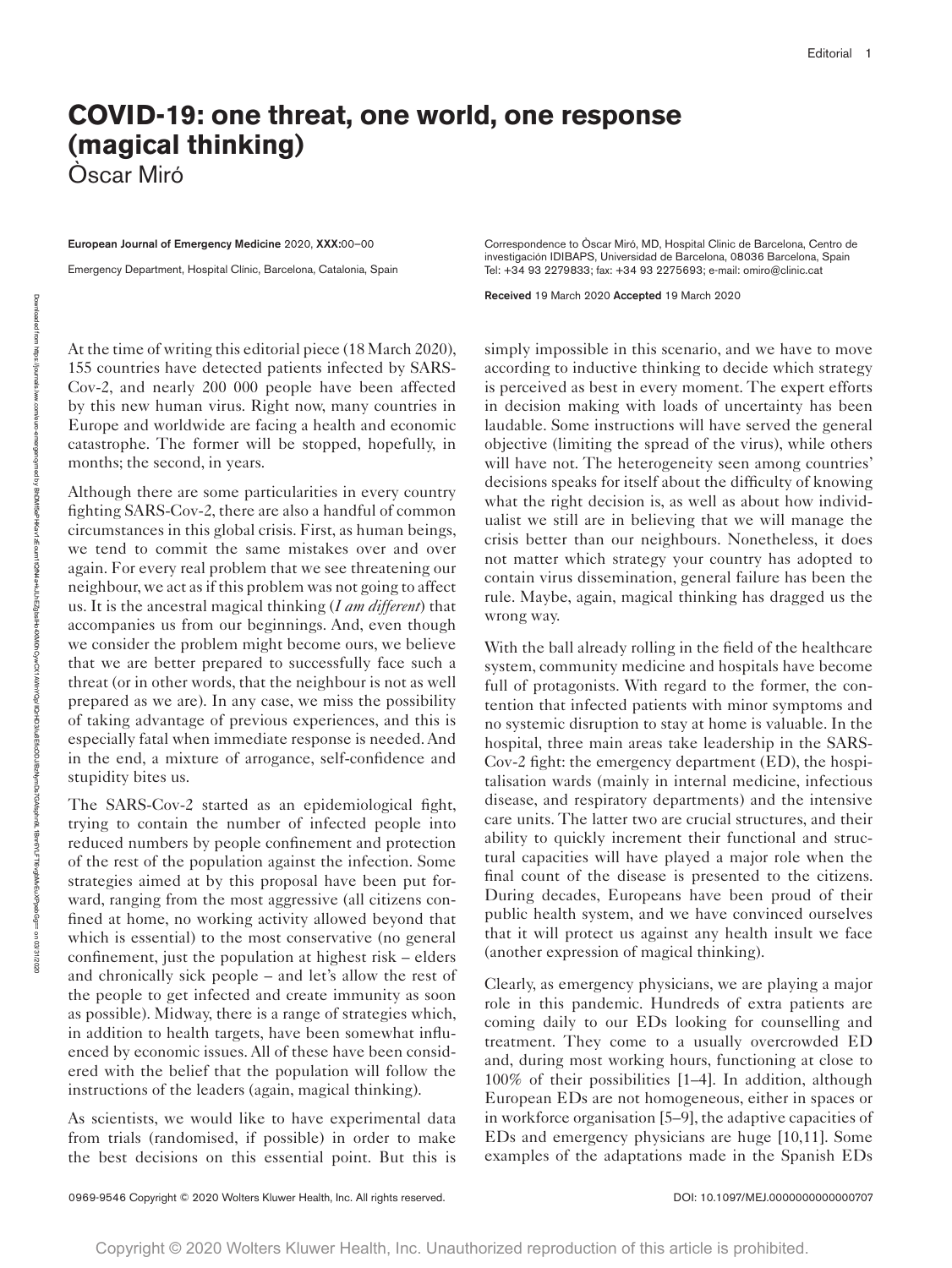# **COVID-19: one threat, one world, one response (magical thinking)**

Òscar Miró

#### European Journal of Emergency Medicine 2020, XXX:00–00

Emergency Department, Hospital Clínic, Barcelona, Catalonia, Spain

Correspondence to Òscar Miró, MD, Hospital Clinic de Barcelona, Centro de investigación IDIBAPS, Universidad de Barcelona, 08036 Barcelona, Spain Tel: +34 93 2279833; fax: +34 93 2275693; e-mail: [omiro@clinic.cat](mailto:omiro@clinic.cat)

Received 19 March 2020 Accepted 19 March 2020

At the time of writing this editorial piece (18 March 2020), 155 countries have detected patients infected by SARS-Cov-2, and nearly 200 000 people have been affected by this new human virus. Right now, many countries in Europe and worldwide are facing a health and economic catastrophe. The former will be stopped, hopefully, in months; the second, in years.

Although there are some particularities in every country fighting SARS-Cov-2, there are also a handful of common circumstances in this global crisis. First, as human beings, we tend to commit the same mistakes over and over again. For every real problem that we see threatening our neighbour, we act as if this problem was not going to affect us. It is the ancestral magical thinking (*I am different*) that accompanies us from our beginnings. And, even though we consider the problem might become ours, we believe that we are better prepared to successfully face such a threat (or in other words, that the neighbour is not as well prepared as we are). In any case, we miss the possibility of taking advantage of previous experiences, and this is especially fatal when immediate response is needed. And in the end, a mixture of arrogance, self-confidence and stupidity bites us.

The SARS-Cov-2 started as an epidemiological fight, trying to contain the number of infected people into reduced numbers by people confinement and protection of the rest of the population against the infection. Some strategies aimed at by this proposal have been put forward, ranging from the most aggressive (all citizens confined at home, no working activity allowed beyond that which is essential) to the most conservative (no general confinement, just the population at highest risk – elders and chronically sick people – and let's allow the rest of the people to get infected and create immunity as soon as possible). Midway, there is a range of strategies which, in addition to health targets, have been somewhat influenced by economic issues. All of these have been considered with the belief that the population will follow the instructions of the leaders (again, magical thinking).

As scientists, we would like to have experimental data from trials (randomised, if possible) in order to make the best decisions on this essential point. But this is

simply impossible in this scenario, and we have to move according to inductive thinking to decide which strategy is perceived as best in every moment. The expert efforts in decision making with loads of uncertainty has been laudable. Some instructions will have served the general objective (limiting the spread of the virus), while others will have not. The heterogeneity seen among countries' decisions speaks for itself about the difficulty of knowing what the right decision is, as well as about how individualist we still are in believing that we will manage the crisis better than our neighbours. Nonetheless, it does not matter which strategy your country has adopted to contain virus dissemination, general failure has been the rule. Maybe, again, magical thinking has dragged us the wrong way.

With the ball already rolling in the field of the healthcare system, community medicine and hospitals have become full of protagonists. With regard to the former, the contention that infected patients with minor symptoms and no systemic disruption to stay at home is valuable. In the hospital, three main areas take leadership in the SARS-Cov-2 fight: the emergency department (ED), the hospitalisation wards (mainly in internal medicine, infectious disease, and respiratory departments) and the intensive care units. The latter two are crucial structures, and their ability to quickly increment their functional and structural capacities will have played a major role when the final count of the disease is presented to the citizens. During decades, Europeans have been proud of their public health system, and we have convinced ourselves that it will protect us against any health insult we face (another expression of magical thinking).

Clearly, as emergency physicians, we are playing a major role in this pandemic. Hundreds of extra patients are coming daily to our EDs looking for counselling and treatment. They come to a usually overcrowded ED and, during most working hours, functioning at close to 100% of their possibilities [1–4]. In addition, although European EDs are not homogeneous, either in spaces or in workforce organisation [5–9], the adaptive capacities of EDs and emergency physicians are huge [10,11]. Some examples of the adaptations made in the Spanish EDs